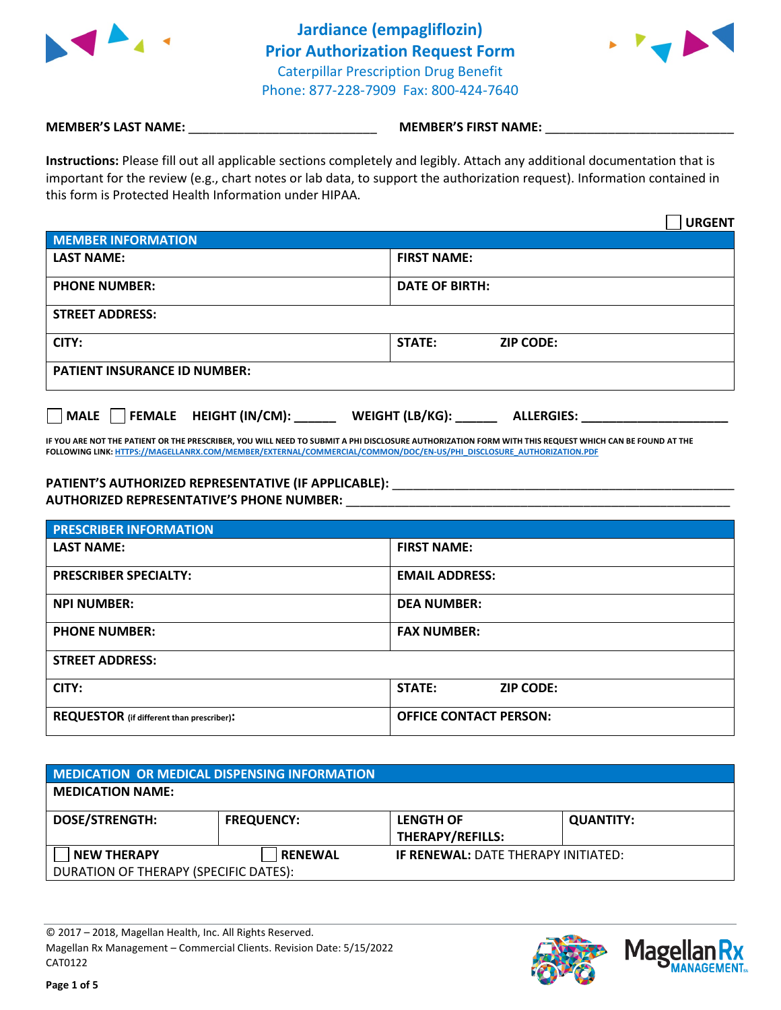

**Jardiance (empagliflozin) Prior Authorization Request Form** Caterpillar Prescription Drug Benefit Phone: 877-228-7909 Fax: 800-424-7640



## **MEMBER'S LAST NAME:**  $\blacksquare$  **MEMBER'S FIRST NAME:**

**Instructions:** Please fill out all applicable sections completely and legibly. Attach any additional documentation that is important for the review (e.g., chart notes or lab data, to support the authorization request). Information contained in this form is Protected Health Information under HIPAA.

|                                                        | <b>URGENT</b>                               |
|--------------------------------------------------------|---------------------------------------------|
| <b>MEMBER INFORMATION</b>                              |                                             |
| <b>LAST NAME:</b>                                      | <b>FIRST NAME:</b>                          |
| <b>PHONE NUMBER:</b>                                   | <b>DATE OF BIRTH:</b>                       |
| <b>STREET ADDRESS:</b>                                 |                                             |
| CITY:                                                  | STATE:<br><b>ZIP CODE:</b>                  |
| <b>PATIENT INSURANCE ID NUMBER:</b>                    |                                             |
| <b>HEIGHT (IN/CM):</b><br><b>FEMALE</b><br><b>MALE</b> | <b>WEIGHT (LB/KG):</b><br><b>ALLERGIES:</b> |

**IF YOU ARE NOT THE PATIENT OR THE PRESCRIBER, YOU WILL NEED TO SUBMIT A PHI DISCLOSURE AUTHORIZATION FORM WITH THIS REQUEST WHICH CAN BE FOUND AT THE FOLLOWING LINK[: HTTPS://MAGELLANRX.COM/MEMBER/EXTERNAL/COMMERCIAL/COMMON/DOC/EN-US/PHI\\_DISCLOSURE\\_AUTHORIZATION.PDF](https://magellanrx.com/member/external/commercial/common/doc/en-us/PHI_Disclosure_Authorization.pdf)**

# PATIENT'S AUTHORIZED REPRESENTATIVE (IF APPLICABLE): **\_\_\_\_\_\_\_\_\_\_\_\_\_\_\_\_\_\_\_\_\_\_\_\_\_\_**

**AUTHORIZED REPRESENTATIVE'S PHONE NUMBER:** \_\_\_\_\_\_\_\_\_\_\_\_\_\_\_\_\_\_\_\_\_\_\_\_\_\_\_\_\_\_\_\_\_\_\_\_\_\_\_\_\_\_\_\_\_\_\_\_\_\_\_\_\_\_\_

| <b>PRESCRIBER INFORMATION</b>                    |                               |  |
|--------------------------------------------------|-------------------------------|--|
| <b>LAST NAME:</b>                                | <b>FIRST NAME:</b>            |  |
| <b>PRESCRIBER SPECIALTY:</b>                     | <b>EMAIL ADDRESS:</b>         |  |
| <b>NPI NUMBER:</b>                               | <b>DEA NUMBER:</b>            |  |
| <b>PHONE NUMBER:</b>                             | <b>FAX NUMBER:</b>            |  |
| <b>STREET ADDRESS:</b>                           |                               |  |
| CITY:                                            | STATE:<br><b>ZIP CODE:</b>    |  |
| <b>REQUESTOR</b> (if different than prescriber): | <b>OFFICE CONTACT PERSON:</b> |  |

| <b>MEDICATION OR MEDICAL DISPENSING INFORMATION</b>         |                   |                                             |                  |  |
|-------------------------------------------------------------|-------------------|---------------------------------------------|------------------|--|
| <b>MEDICATION NAME:</b>                                     |                   |                                             |                  |  |
| <b>DOSE/STRENGTH:</b>                                       | <b>FREQUENCY:</b> | <b>LENGTH OF</b><br><b>THERAPY/REFILLS:</b> | <b>QUANTITY:</b> |  |
| <b>NEW THERAPY</b><br>DURATION OF THERAPY (SPECIFIC DATES): | <b>RENEWAL</b>    | <b>IF RENEWAL: DATE THERAPY INITIATED:</b>  |                  |  |

© 2017 – 2018, Magellan Health, Inc. All Rights Reserved. Magellan Rx Management – Commercial Clients. Revision Date: 5/15/2022 CAT0122



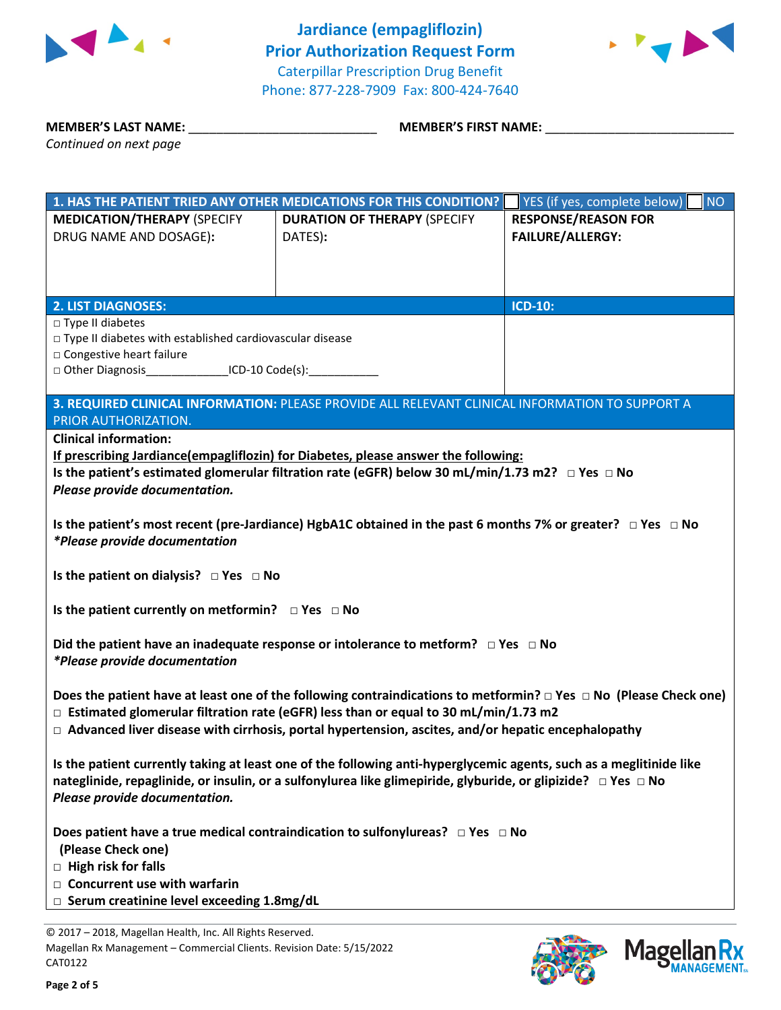



**MEMBER'S LAST NAME:** \_\_\_\_\_\_\_\_\_\_\_\_\_\_\_\_\_\_\_\_\_\_\_\_\_\_\_ **MEMBER'S FIRST NAME:** \_\_\_\_\_\_\_\_\_\_\_\_\_\_\_\_\_\_\_\_\_\_\_\_\_\_\_

|                                                                                                                             | 1. HAS THE PATIENT TRIED ANY OTHER MEDICATIONS FOR THIS CONDITION?                                                    | YES (if yes, complete below)<br><b>NO</b> |  |  |
|-----------------------------------------------------------------------------------------------------------------------------|-----------------------------------------------------------------------------------------------------------------------|-------------------------------------------|--|--|
| <b>MEDICATION/THERAPY (SPECIFY</b>                                                                                          | <b>DURATION OF THERAPY (SPECIFY</b>                                                                                   | <b>RESPONSE/REASON FOR</b>                |  |  |
| DRUG NAME AND DOSAGE):                                                                                                      | DATES):                                                                                                               | <b>FAILURE/ALLERGY:</b>                   |  |  |
|                                                                                                                             |                                                                                                                       |                                           |  |  |
|                                                                                                                             |                                                                                                                       |                                           |  |  |
|                                                                                                                             |                                                                                                                       |                                           |  |  |
| <b>2. LIST DIAGNOSES:</b>                                                                                                   |                                                                                                                       | <b>ICD-10:</b>                            |  |  |
| $\Box$ Type II diabetes                                                                                                     |                                                                                                                       |                                           |  |  |
| □ Type II diabetes with established cardiovascular disease                                                                  |                                                                                                                       |                                           |  |  |
| □ Congestive heart failure                                                                                                  |                                                                                                                       |                                           |  |  |
| □ Other Diagnosis __________________ICD-10 Code(s): ____________________________                                            |                                                                                                                       |                                           |  |  |
|                                                                                                                             |                                                                                                                       |                                           |  |  |
|                                                                                                                             | 3. REQUIRED CLINICAL INFORMATION: PLEASE PROVIDE ALL RELEVANT CLINICAL INFORMATION TO SUPPORT A                       |                                           |  |  |
| PRIOR AUTHORIZATION.                                                                                                        |                                                                                                                       |                                           |  |  |
| <b>Clinical information:</b>                                                                                                |                                                                                                                       |                                           |  |  |
|                                                                                                                             | If prescribing Jardiance(empagliflozin) for Diabetes, please answer the following:                                    |                                           |  |  |
|                                                                                                                             | Is the patient's estimated glomerular filtration rate (eGFR) below 30 mL/min/1.73 m2? $\Box$ Yes $\Box$ No            |                                           |  |  |
| Please provide documentation.                                                                                               |                                                                                                                       |                                           |  |  |
| <i>*Please provide documentation</i>                                                                                        | Is the patient's most recent (pre-Jardiance) HgbA1C obtained in the past 6 months 7% or greater? $\Box$ Yes $\Box$ No |                                           |  |  |
|                                                                                                                             |                                                                                                                       |                                           |  |  |
| Is the patient on dialysis? $\Box$ Yes $\Box$ No                                                                            |                                                                                                                       |                                           |  |  |
|                                                                                                                             |                                                                                                                       |                                           |  |  |
| Is the patient currently on metformin? □ Yes □ No                                                                           |                                                                                                                       |                                           |  |  |
|                                                                                                                             |                                                                                                                       |                                           |  |  |
| Did the patient have an inadequate response or intolerance to metform? $\Box$ Yes $\Box$ No                                 |                                                                                                                       |                                           |  |  |
| *Please provide documentation                                                                                               |                                                                                                                       |                                           |  |  |
|                                                                                                                             |                                                                                                                       |                                           |  |  |
| Does the patient have at least one of the following contraindications to metformin? $\Box$ Yes $\Box$ No (Please Check one) |                                                                                                                       |                                           |  |  |
| $\Box$ Estimated glomerular filtration rate (eGFR) less than or equal to 30 mL/min/1.73 m2                                  |                                                                                                                       |                                           |  |  |
| $\Box$ Advanced liver disease with cirrhosis, portal hypertension, ascites, and/or hepatic encephalopathy                   |                                                                                                                       |                                           |  |  |
|                                                                                                                             |                                                                                                                       |                                           |  |  |
| Is the patient currently taking at least one of the following anti-hyperglycemic agents, such as a meglitinide like         |                                                                                                                       |                                           |  |  |
| nateglinide, repaglinide, or insulin, or a sulfonylurea like glimepiride, glyburide, or glipizide? □ Yes □ No               |                                                                                                                       |                                           |  |  |
| Please provide documentation.                                                                                               |                                                                                                                       |                                           |  |  |
|                                                                                                                             |                                                                                                                       |                                           |  |  |
| Does patient have a true medical contraindication to sulfonylureas? $\Box$ Yes $\Box$ No                                    |                                                                                                                       |                                           |  |  |
| (Please Check one)                                                                                                          |                                                                                                                       |                                           |  |  |
| $\Box$ High risk for falls                                                                                                  |                                                                                                                       |                                           |  |  |
| $\Box$ Concurrent use with warfarin                                                                                         |                                                                                                                       |                                           |  |  |
| $\Box$ Serum creatinine level exceeding 1.8mg/dL                                                                            |                                                                                                                       |                                           |  |  |
|                                                                                                                             |                                                                                                                       |                                           |  |  |

© 2017 – 2018, Magellan Health, Inc. All Rights Reserved. Magellan Rx Management – Commercial Clients. Revision Date: 5/15/2022 CAT0122



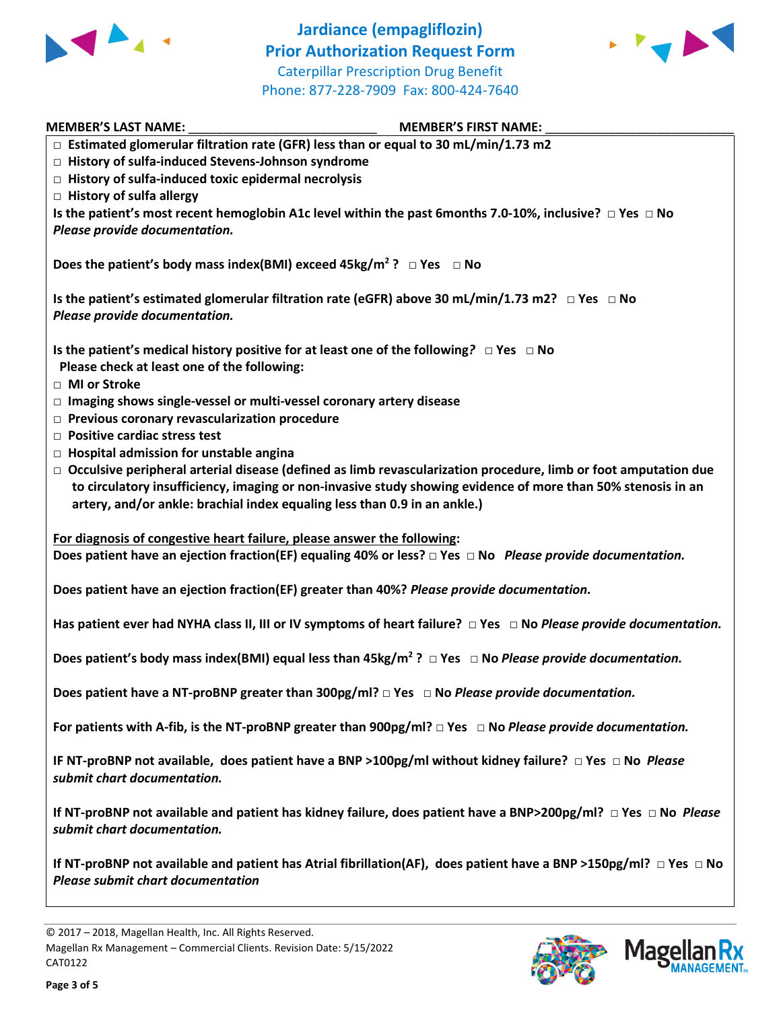

**Jardiance (empagliflozin) Prior Authorization Request Form** Caterpillar Prescription Drug Benefit Phone: 877-228-7909 Fax: 800-424-7640



| <b>MEMBER'S LAST NAME:</b><br><b>MEMBER'S FIRST NAME:</b>                                                                                                                                                                                                                                                           |
|---------------------------------------------------------------------------------------------------------------------------------------------------------------------------------------------------------------------------------------------------------------------------------------------------------------------|
| □ Estimated glomerular filtration rate (GFR) less than or equal to 30 mL/min/1.73 m2                                                                                                                                                                                                                                |
| □ History of sulfa-induced Stevens-Johnson syndrome                                                                                                                                                                                                                                                                 |
| $\Box$ History of sulfa-induced toxic epidermal necrolysis                                                                                                                                                                                                                                                          |
| $\Box$ History of sulfa allergy                                                                                                                                                                                                                                                                                     |
| Is the patient's most recent hemoglobin A1c level within the past 6months 7.0-10%, inclusive? $\Box$ Yes $\Box$ No<br>Please provide documentation.                                                                                                                                                                 |
|                                                                                                                                                                                                                                                                                                                     |
| Does the patient's body mass index(BMI) exceed $45\text{kg/m}^2$ ? $\Box$ Yes $\Box$ No                                                                                                                                                                                                                             |
| Is the patient's estimated glomerular filtration rate (eGFR) above 30 mL/min/1.73 m2? $\Box$ Yes $\Box$ No<br>Please provide documentation.                                                                                                                                                                         |
| Is the patient's medical history positive for at least one of the following? $\Box$ Yes $\Box$ No<br>Please check at least one of the following:<br>□ MI or Stroke                                                                                                                                                  |
| □ Imaging shows single-vessel or multi-vessel coronary artery disease<br>$\Box$ Previous coronary revascularization procedure<br>$\Box$ Positive cardiac stress test                                                                                                                                                |
| $\Box$ Hospital admission for unstable angina                                                                                                                                                                                                                                                                       |
| $\Box$ Occulsive peripheral arterial disease (defined as limb revascularization procedure, limb or foot amputation due<br>to circulatory insufficiency, imaging or non-invasive study showing evidence of more than 50% stenosis in an<br>artery, and/or ankle: brachial index equaling less than 0.9 in an ankle.) |
| For diagnosis of congestive heart failure, please answer the following:                                                                                                                                                                                                                                             |
| Does patient have an ejection fraction(EF) equaling 40% or less? $\Box$ Yes $\Box$ No Please provide documentation.                                                                                                                                                                                                 |
| Does patient have an ejection fraction(EF) greater than 40%? Please provide documentation.                                                                                                                                                                                                                          |
| Has patient ever had NYHA class II, III or IV symptoms of heart failure? $\Box$ Yes $\Box$ No Please provide documentation.                                                                                                                                                                                         |
| Does patient's body mass index(BMI) equal less than $45\text{kg/m}^2$ ? $\Box$ Yes $\Box$ No Please provide documentation.                                                                                                                                                                                          |
| Does patient have a NT-proBNP greater than $300pg/ml? \Box Yes \Box No Please provide documentation.$                                                                                                                                                                                                               |
| For patients with A-fib, is the NT-proBNP greater than $900pg/ml? \Box Yes \Box No Please provide documentation.$                                                                                                                                                                                                   |
| IF NT-proBNP not available, does patient have a BNP > 100pg/ml without kidney failure? $\Box$ Yes $\Box$ No Please<br>submit chart documentation.                                                                                                                                                                   |
| If NT-proBNP not available and patient has kidney failure, does patient have a BNP>200pg/ml? $\Box$ Yes $\Box$ No Please<br>submit chart documentation.                                                                                                                                                             |
| If NT-proBNP not available and patient has Atrial fibrillation(AF), does patient have a BNP >150pg/ml? $\Box$ Yes $\Box$ No<br><b>Please submit chart documentation</b>                                                                                                                                             |



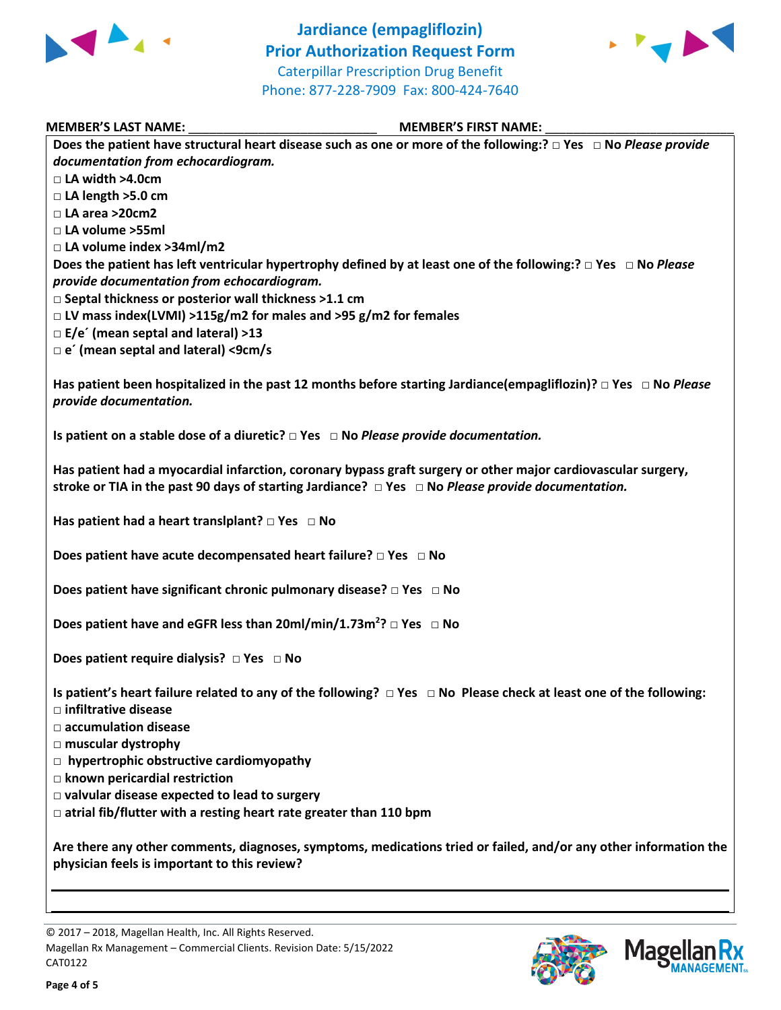



### **MEMBER'S LAST NAME:** \_\_\_\_\_\_\_\_\_\_\_\_\_\_\_\_\_\_\_\_\_\_\_\_\_\_\_ **MEMBER'S FIRST NAME:** \_\_\_\_\_\_\_\_\_\_\_\_\_\_\_\_\_\_\_\_\_\_\_\_\_\_\_

| IVILIVIDLI\ J LAJI IVAIVIL.<br><b>INICIAIDEIS 3 LIUSI IAMIAIE.</b>                                                           |
|------------------------------------------------------------------------------------------------------------------------------|
| Does the patient have structural heart disease such as one or more of the following:? $\Box$ Yes $\Box$ No Please provide    |
| documentation from echocardiogram.                                                                                           |
| $\Box$ LA width >4.0cm                                                                                                       |
| $\Box$ LA length >5.0 cm                                                                                                     |
| □ LA area >20cm2                                                                                                             |
| □ LA volume >55ml                                                                                                            |
| □ LA volume index >34ml/m2                                                                                                   |
| Does the patient has left ventricular hypertrophy defined by at least one of the following: $P \Box$ Yes $\Box$ No Please    |
| provide documentation from echocardiogram.                                                                                   |
| □ Septal thickness or posterior wall thickness >1.1 cm                                                                       |
| □ LV mass index(LVMI) >115g/m2 for males and >95 g/m2 for females                                                            |
| $\Box$ E/e' (mean septal and lateral) >13                                                                                    |
| $\Box$ e' (mean septal and lateral) <9cm/s                                                                                   |
|                                                                                                                              |
| Has patient been hospitalized in the past 12 months before starting Jardiance(empagliflozin)? $\Box$ Yes $\Box$ No Please    |
| provide documentation.                                                                                                       |
|                                                                                                                              |
| Is patient on a stable dose of a diuretic? $\Box$ Yes $\Box$ No Please provide documentation.                                |
|                                                                                                                              |
| Has patient had a myocardial infarction, coronary bypass graft surgery or other major cardiovascular surgery,                |
| stroke or TIA in the past 90 days of starting Jardiance? $\Box$ Yes $\Box$ No Please provide documentation.                  |
|                                                                                                                              |
| Has patient had a heart translplant? $\square$ Yes $\square$ No                                                              |
|                                                                                                                              |
| Does patient have acute decompensated heart failure? $\square$ Yes $\square$ No                                              |
|                                                                                                                              |
| Does patient have significant chronic pulmonary disease? $\Box$ Yes $\Box$ No                                                |
|                                                                                                                              |
| Does patient have and eGFR less than $20$ ml/min/1.73m <sup>2</sup> ? $\Box$ Yes $\Box$ No                                   |
|                                                                                                                              |
| Does patient require dialysis? $\Box$ Yes $\Box$ No                                                                          |
|                                                                                                                              |
| Is patient's heart failure related to any of the following? $\Box$ Yes $\Box$ No Please check at least one of the following: |
| $\square$ infiltrative disease                                                                                               |
| $\Box$ accumulation disease                                                                                                  |
|                                                                                                                              |
| $\Box$ muscular dystrophy                                                                                                    |
| $\Box$ hypertrophic obstructive cardiomyopathy                                                                               |
| $\Box$ known pericardial restriction                                                                                         |
| $\Box$ valvular disease expected to lead to surgery                                                                          |
| $\Box$ atrial fib/flutter with a resting heart rate greater than 110 bpm                                                     |
|                                                                                                                              |
| Are there any other comments, diagnoses, symptoms, medications tried or failed, and/or any other information the             |
| physician feels is important to this review?                                                                                 |
|                                                                                                                              |
|                                                                                                                              |
|                                                                                                                              |

© 2017 – 2018, Magellan Health, Inc. All Rights Reserved. Magellan Rx Management – Commercial Clients. Revision Date: 5/15/2022 CAT0122